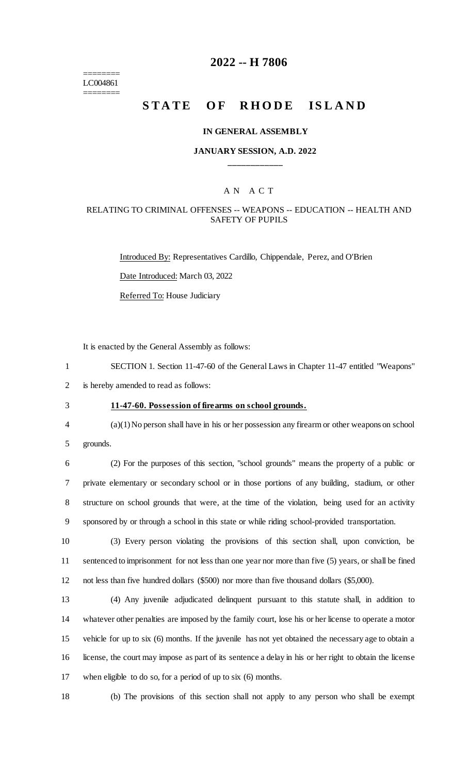======== LC004861 ========

## **2022 -- H 7806**

## **STATE OF RHODE ISLAND**

#### **IN GENERAL ASSEMBLY**

## **JANUARY SESSION, A.D. 2022 \_\_\_\_\_\_\_\_\_\_\_\_**

## A N A C T

## RELATING TO CRIMINAL OFFENSES -- WEAPONS -- EDUCATION -- HEALTH AND SAFETY OF PUPILS

Introduced By: Representatives Cardillo, Chippendale, Perez, and O'Brien Date Introduced: March 03, 2022 Referred To: House Judiciary

It is enacted by the General Assembly as follows:

1 SECTION 1. Section 11-47-60 of the General Laws in Chapter 11-47 entitled "Weapons" 2 is hereby amended to read as follows:

- -

# 3 **11-47-60. Possession of firearms on school grounds.**

4 (a)(1) No person shall have in his or her possession any firearm or other weapons on school 5 grounds.

 (2) For the purposes of this section, "school grounds" means the property of a public or private elementary or secondary school or in those portions of any building, stadium, or other structure on school grounds that were, at the time of the violation, being used for an activity sponsored by or through a school in this state or while riding school-provided transportation.

10 (3) Every person violating the provisions of this section shall, upon conviction, be 11 sentenced to imprisonment for not less than one year nor more than five (5) years, or shall be fined 12 not less than five hundred dollars (\$500) nor more than five thousand dollars (\$5,000).

 (4) Any juvenile adjudicated delinquent pursuant to this statute shall, in addition to whatever other penalties are imposed by the family court, lose his or her license to operate a motor vehicle for up to six (6) months. If the juvenile has not yet obtained the necessary age to obtain a license, the court may impose as part of its sentence a delay in his or her right to obtain the license when eligible to do so, for a period of up to six (6) months.

18 (b) The provisions of this section shall not apply to any person who shall be exempt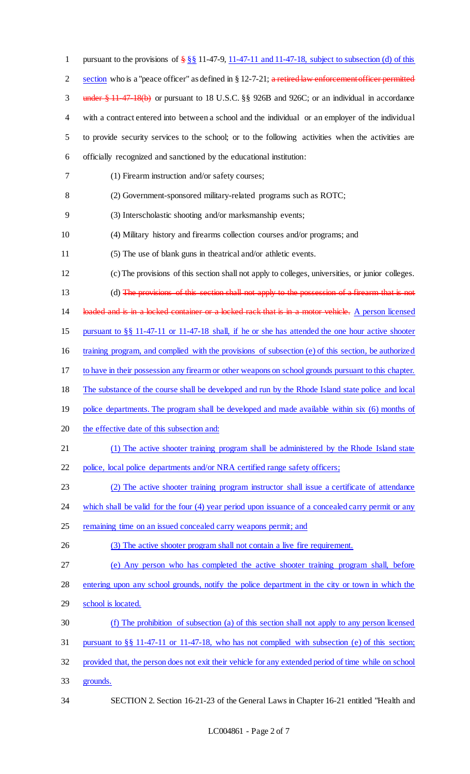| $\mathbf{1}$   | pursuant to the provisions of $\frac{255}{28}$ 11-47-9, 11-47-11 and 11-47-18, subject to subsection (d) of this |
|----------------|------------------------------------------------------------------------------------------------------------------|
| $\overline{2}$ | section who is a "peace officer" as defined in $\S 12$ -7-21; a retired law enforcement officer permitted        |
| $\mathfrak{Z}$ | under $\frac{1}{2}$ 11 47 18(b) or pursuant to 18 U.S.C. §§ 926B and 926C; or an individual in accordance        |
| $\overline{4}$ | with a contract entered into between a school and the individual or an employer of the individual                |
| 5              | to provide security services to the school; or to the following activities when the activities are               |
| 6              | officially recognized and sanctioned by the educational institution:                                             |
| 7              | (1) Firearm instruction and/or safety courses;                                                                   |
| $8\,$          | (2) Government-sponsored military-related programs such as ROTC;                                                 |
| 9              | (3) Interscholastic shooting and/or marksmanship events;                                                         |
| 10             | (4) Military history and firearms collection courses and/or programs; and                                        |
| 11             | (5) The use of blank guns in the atrical and/or athletic events.                                                 |
| 12             | (c) The provisions of this section shall not apply to colleges, universities, or junior colleges.                |
| 13             | (d) The provisions of this section shall not apply to the possession of a firearm that is not                    |
| 14             | loaded and is in a locked container or a locked rack that is in a motor vehicle. A person licensed               |
| 15             | pursuant to §§ 11-47-11 or 11-47-18 shall, if he or she has attended the one hour active shooter                 |
| 16             | training program, and complied with the provisions of subsection (e) of this section, be authorized              |
| 17             | to have in their possession any firearm or other weapons on school grounds pursuant to this chapter.             |
| 18             | The substance of the course shall be developed and run by the Rhode Island state police and local                |
| 19             | police departments. The program shall be developed and made available within six (6) months of                   |
| 20             | the effective date of this subsection and:                                                                       |
| 21             | (1) The active shooter training program shall be administered by the Rhode Island state                          |
| 22             | police, local police departments and/or NRA certified range safety officers;                                     |
| 23             | (2) The active shooter training program instructor shall issue a certificate of attendance                       |
| 24             | which shall be valid for the four (4) year period upon issuance of a concealed carry permit or any               |
| 25             | remaining time on an issued concealed carry weapons permit; and                                                  |
| 26             | (3) The active shooter program shall not contain a live fire requirement.                                        |
| 27             | (e) Any person who has completed the active shooter training program shall, before                               |
| 28             | entering upon any school grounds, notify the police department in the city or town in which the                  |
| 29             | school is located.                                                                                               |
| 30             | (f) The prohibition of subsection (a) of this section shall not apply to any person licensed                     |
| 31             | pursuant to $\S$ 11-47-11 or 11-47-18, who has not complied with subsection (e) of this section;                 |
| 32             | provided that, the person does not exit their vehicle for any extended period of time while on school            |
| 33             | grounds.                                                                                                         |
| 34             | SECTION 2. Section 16-21-23 of the General Laws in Chapter 16-21 entitled "Health and                            |

LC004861 - Page 2 of 7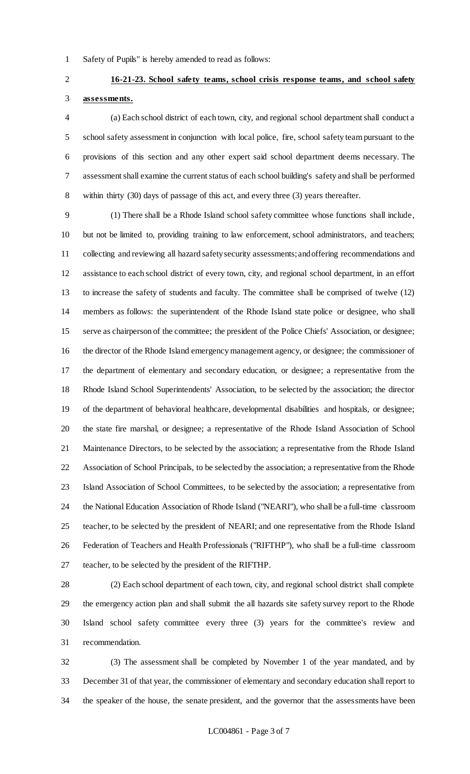Safety of Pupils" is hereby amended to read as follows:

## **16-21-23. School safety teams, school crisis response teams, and school safety assessments.**

 (a) Each school district of each town, city, and regional school department shall conduct a school safety assessment in conjunction with local police, fire, school safety team pursuant to the provisions of this section and any other expert said school department deems necessary. The assessment shall examine the current status of each school building's safety and shall be performed within thirty (30) days of passage of this act, and every three (3) years thereafter.

 (1) There shall be a Rhode Island school safety committee whose functions shall include, but not be limited to, providing training to law enforcement, school administrators, and teachers; collecting and reviewing all hazard safety security assessments; and offering recommendations and assistance to each school district of every town, city, and regional school department, in an effort to increase the safety of students and faculty. The committee shall be comprised of twelve (12) members as follows: the superintendent of the Rhode Island state police or designee, who shall serve as chairperson of the committee; the president of the Police Chiefs' Association, or designee; the director of the Rhode Island emergency management agency, or designee; the commissioner of the department of elementary and secondary education, or designee; a representative from the Rhode Island School Superintendents' Association, to be selected by the association; the director of the department of behavioral healthcare, developmental disabilities and hospitals, or designee; the state fire marshal, or designee; a representative of the Rhode Island Association of School Maintenance Directors, to be selected by the association; a representative from the Rhode Island Association of School Principals, to be selected by the association; a representative from the Rhode Island Association of School Committees, to be selected by the association; a representative from the National Education Association of Rhode Island ("NEARI"), who shall be a full-time classroom teacher, to be selected by the president of NEARI; and one representative from the Rhode Island Federation of Teachers and Health Professionals ("RIFTHP"), who shall be a full-time classroom teacher, to be selected by the president of the RIFTHP.

 (2) Each school department of each town, city, and regional school district shall complete the emergency action plan and shall submit the all hazards site safety survey report to the Rhode Island school safety committee every three (3) years for the committee's review and recommendation.

 (3) The assessment shall be completed by November 1 of the year mandated, and by December 31 of that year, the commissioner of elementary and secondary education shall report to the speaker of the house, the senate president, and the governor that the assessments have been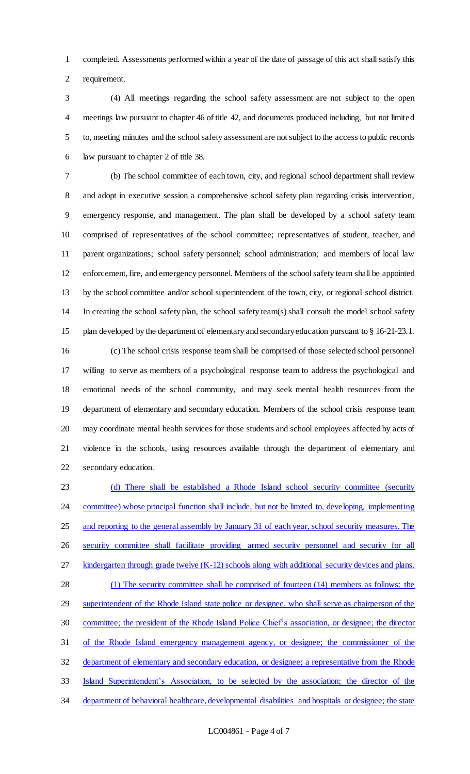completed. Assessments performed within a year of the date of passage of this act shall satisfy this requirement.

 (4) All meetings regarding the school safety assessment are not subject to the open meetings law pursuant to chapter 46 of title 42, and documents produced including, but not limited to, meeting minutes and the school safety assessment are not subject to the access to public records law pursuant to chapter 2 of title 38.

 (b) The school committee of each town, city, and regional school department shall review and adopt in executive session a comprehensive school safety plan regarding crisis intervention, emergency response, and management. The plan shall be developed by a school safety team comprised of representatives of the school committee; representatives of student, teacher, and parent organizations; school safety personnel; school administration; and members of local law enforcement, fire, and emergency personnel. Members of the school safety team shall be appointed by the school committee and/or school superintendent of the town, city, or regional school district. In creating the school safety plan, the school safety team(s) shall consult the model school safety plan developed by the department of elementary and secondary education pursuant to § 16-21-23.1.

 (c) The school crisis response team shall be comprised of those selected school personnel willing to serve as members of a psychological response team to address the psychological and emotional needs of the school community, and may seek mental health resources from the department of elementary and secondary education. Members of the school crisis response team may coordinate mental health services for those students and school employees affected by acts of violence in the schools, using resources available through the department of elementary and secondary education.

 (d) There shall be established a Rhode Island school security committee (security 24 committee) whose principal function shall include, but not be limited to, developing, implementing 25 and reporting to the general assembly by January 31 of each year, school security measures. The 26 security committee shall facilitate providing armed security personnel and security for all 27 kindergarten through grade twelve (K-12) schools along with additional security devices and plans. (1) The security committee shall be comprised of fourteen (14) members as follows: the 29 superintendent of the Rhode Island state police or designee, who shall serve as chairperson of the committee; the president of the Rhode Island Police Chief's association, or designee; the director of the Rhode Island emergency management agency, or designee; the commissioner of the 32 department of elementary and secondary education, or designee; a representative from the Rhode Island Superintendent's Association, to be selected by the association; the director of the 34 department of behavioral healthcare, developmental disabilities and hospitals or designee; the state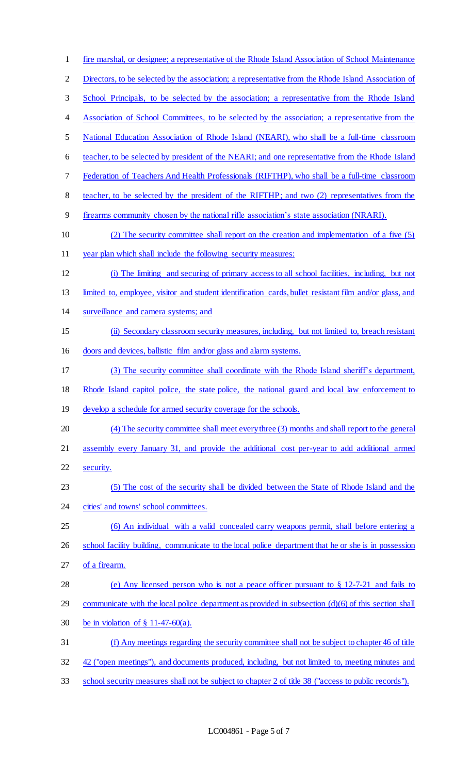fire marshal, or designee; a representative of the Rhode Island Association of School Maintenance 2 Directors, to be selected by the association; a representative from the Rhode Island Association of School Principals, to be selected by the association; a representative from the Rhode Island Association of School Committees, to be selected by the association; a representative from the National Education Association of Rhode Island (NEARI), who shall be a full-time classroom teacher, to be selected by president of the NEARI; and one representative from the Rhode Island Federation of Teachers And Health Professionals (RIFTHP), who shall be a full-time classroom teacher, to be selected by the president of the RIFTHP; and two (2) representatives from the firearms community chosen by the national rifle association's state association (NRARI). (2) The security committee shall report on the creation and implementation of a five (5) year plan which shall include the following security measures: (i) The limiting and securing of primary access to all school facilities, including, but not limited to, employee, visitor and student identification cards, bullet resistant film and/or glass, and surveillance and camera systems; and (ii) Secondary classroom security measures, including, but not limited to, breach resistant doors and devices, ballistic film and/or glass and alarm systems. (3) The security committee shall coordinate with the Rhode Island sheriff's department, Rhode Island capitol police, the state police, the national guard and local law enforcement to 19 develop a schedule for armed security coverage for the schools. (4) The security committee shall meet every three (3) months and shall report to the general assembly every January 31, and provide the additional cost per-year to add additional armed security. (5) The cost of the security shall be divided between the State of Rhode Island and the 24 cities' and towns' school committees. (6) An individual with a valid concealed carry weapons permit, shall before entering a 26 school facility building, communicate to the local police department that he or she is in possession of a firearm. (e) Any licensed person who is not a peace officer pursuant to § 12-7-21 and fails to 29 communicate with the local police department as provided in subsection (d)(6) of this section shall be in violation of § 11-47-60(a). (f) Any meetings regarding the security committee shall not be subject to chapter 46 of title 32 42 ("open meetings"), and documents produced, including, but not limited to, meeting minutes and school security measures shall not be subject to chapter 2 of title 38 ("access to public records").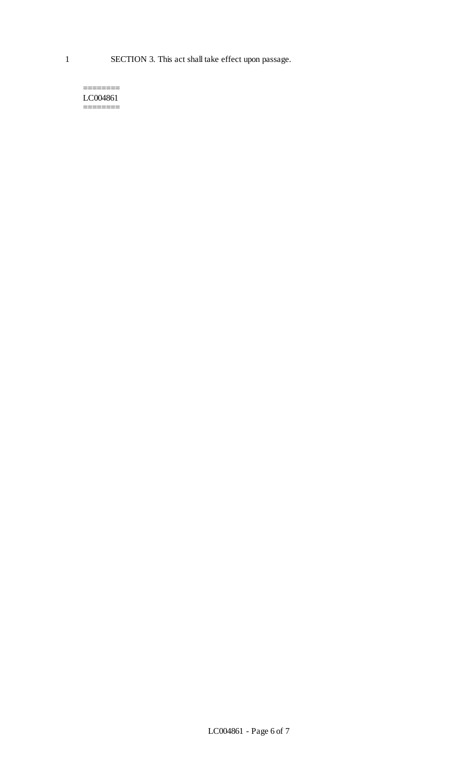1 SECTION 3. This act shall take effect upon passage.

#### ======== LC004861 ========